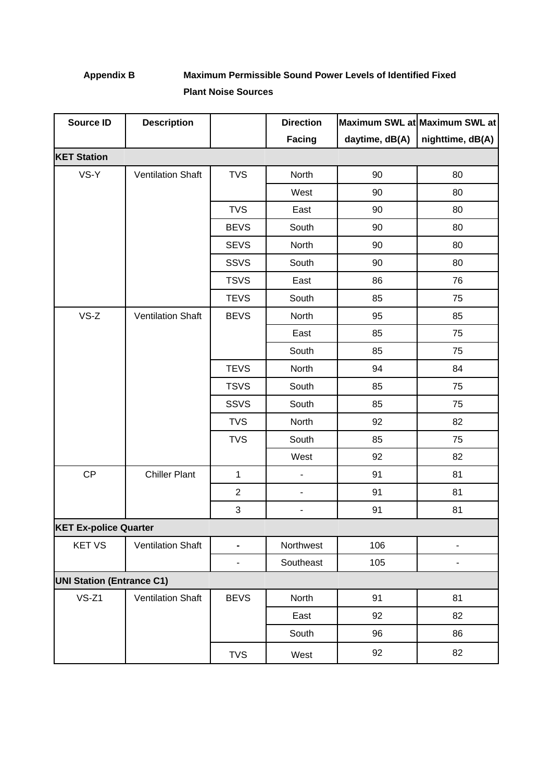## **Appendix B Maximum Permissible Sound Power Levels of Identified Fixed Plant Noise Sources**

| <b>Source ID</b>                 | <b>Description</b>       |                          | <b>Direction</b>         |                | Maximum SWL at Maximum SWL at |
|----------------------------------|--------------------------|--------------------------|--------------------------|----------------|-------------------------------|
|                                  |                          |                          | Facing                   | daytime, dB(A) | nighttime, dB(A)              |
| <b>KET Station</b>               |                          |                          |                          |                |                               |
| VS-Y                             | <b>Ventilation Shaft</b> | <b>TVS</b>               | North                    | 90             | 80                            |
|                                  |                          |                          | West                     | 90             | 80                            |
|                                  |                          | <b>TVS</b>               | East                     | 90             | 80                            |
|                                  |                          | <b>BEVS</b>              | South                    | 90             | 80                            |
|                                  |                          | <b>SEVS</b>              | North                    | 90             | 80                            |
|                                  |                          | <b>SSVS</b>              | South                    | 90             | 80                            |
|                                  |                          | <b>TSVS</b>              | East                     | 86             | 76                            |
|                                  |                          | <b>TEVS</b>              | South                    | 85             | 75                            |
| $VS-Z$                           | <b>Ventilation Shaft</b> | <b>BEVS</b>              | North                    | 95             | 85                            |
|                                  |                          |                          | East                     | 85             | 75                            |
|                                  |                          |                          | South                    | 85             | 75                            |
|                                  |                          | <b>TEVS</b>              | North                    | 94             | 84                            |
|                                  |                          | <b>TSVS</b>              | South                    | 85             | 75                            |
|                                  |                          | SSVS                     | South                    | 85             | 75                            |
|                                  |                          | <b>TVS</b>               | North                    | 92             | 82                            |
|                                  |                          | <b>TVS</b>               | South                    | 85             | 75                            |
|                                  |                          |                          | West                     | 92             | 82                            |
| CP                               | <b>Chiller Plant</b>     | $\mathbf{1}$             | $\overline{\phantom{a}}$ | 91             | 81                            |
|                                  |                          | $\overline{2}$           | $\blacksquare$           | 91             | 81                            |
|                                  |                          | 3                        | $\overline{\phantom{0}}$ | 91             | 81                            |
| <b>KET Ex-police Quarter</b>     |                          |                          |                          |                |                               |
| <b>KET VS</b>                    | <b>Ventilation Shaft</b> |                          | Northwest                | 106            |                               |
|                                  |                          | $\overline{\phantom{a}}$ | Southeast                | 105            | $\overline{\phantom{0}}$      |
| <b>UNI Station (Entrance C1)</b> |                          |                          |                          |                |                               |
| $VS-Z1$                          | <b>Ventilation Shaft</b> | <b>BEVS</b>              | North                    | 91             | 81                            |
|                                  |                          |                          | East                     | 92             | 82                            |
|                                  |                          |                          | South                    | 96             | 86                            |
|                                  |                          | <b>TVS</b>               | West                     | 92             | 82                            |